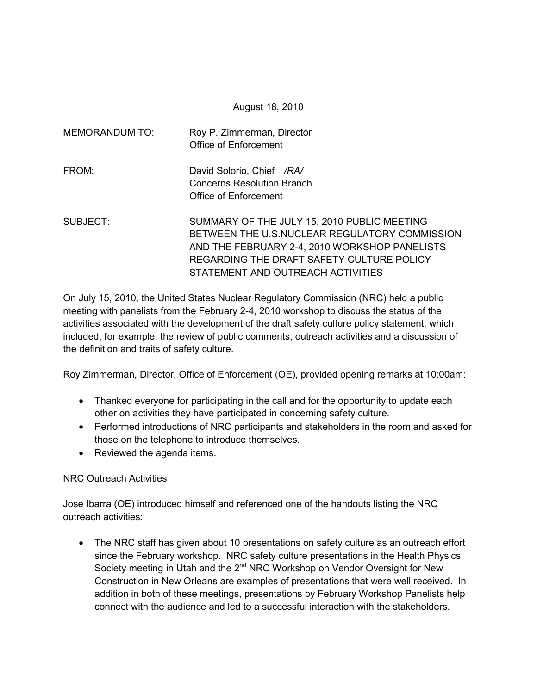August 18, 2010

| <b>MEMORANDUM TO:</b> | Roy P. Zimmerman, Director<br>Office of Enforcement                                                                                                                                                                             |
|-----------------------|---------------------------------------------------------------------------------------------------------------------------------------------------------------------------------------------------------------------------------|
| FROM:                 | David Solorio, Chief /RA/<br><b>Concerns Resolution Branch</b><br>Office of Enforcement                                                                                                                                         |
| SUBJECT:              | SUMMARY OF THE JULY 15, 2010 PUBLIC MEETING<br>BETWEEN THE U.S.NUCLEAR REGULATORY COMMISSION<br>AND THE FEBRUARY 2-4, 2010 WORKSHOP PANELISTS<br>REGARDING THE DRAFT SAFETY CULTURE POLICY<br>STATEMENT AND OUTREACH ACTIVITIES |

On July 15, 2010, the United States Nuclear Regulatory Commission (NRC) held a public meeting with panelists from the February 2-4, 2010 workshop to discuss the status of the activities associated with the development of the draft safety culture policy statement, which included, for example, the review of public comments, outreach activities and a discussion of the definition and traits of safety culture.

Roy Zimmerman, Director, Office of Enforcement (OE), provided opening remarks at 10:00am:

- Thanked everyone for participating in the call and for the opportunity to update each other on activities they have participated in concerning safety culture.
- Performed introductions of NRC participants and stakeholders in the room and asked for those on the telephone to introduce themselves.
- Reviewed the agenda items.

### NRC Outreach Activities

Jose Ibarra (OE) introduced himself and referenced one of the handouts listing the NRC outreach activities:

• The NRC staff has given about 10 presentations on safety culture as an outreach effort since the February workshop. NRC safety culture presentations in the Health Physics Society meeting in Utah and the  $2^{nd}$  NRC Workshop on Vendor Oversight for New Construction in New Orleans are examples of presentations that were well received. In addition in both of these meetings, presentations by February Workshop Panelists help connect with the audience and led to a successful interaction with the stakeholders.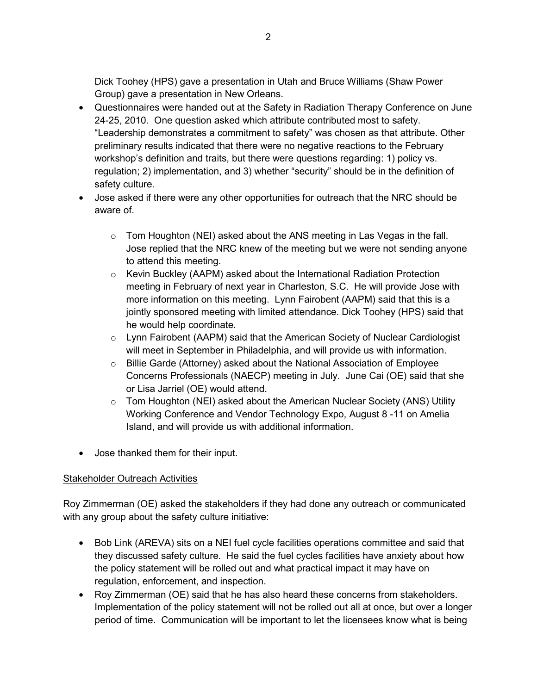Dick Toohey (HPS) gave a presentation in Utah and Bruce Williams (Shaw Power Group) gave a presentation in New Orleans.

- Questionnaires were handed out at the Safety in Radiation Therapy Conference on June 24-25, 2010. One question asked which attribute contributed most to safety. "Leadership demonstrates a commitment to safety" was chosen as that attribute. Other preliminary results indicated that there were no negative reactions to the February workshop's definition and traits, but there were questions regarding: 1) policy vs. regulation; 2) implementation, and 3) whether "security" should be in the definition of safety culture.
- Jose asked if there were any other opportunities for outreach that the NRC should be aware of.
	- $\circ$  Tom Houghton (NEI) asked about the ANS meeting in Las Vegas in the fall. Jose replied that the NRC knew of the meeting but we were not sending anyone to attend this meeting.
	- $\circ$  Kevin Buckley (AAPM) asked about the International Radiation Protection meeting in February of next year in Charleston, S.C. He will provide Jose with more information on this meeting. Lynn Fairobent (AAPM) said that this is a jointly sponsored meeting with limited attendance. Dick Toohey (HPS) said that he would help coordinate.
	- $\circ$  Lynn Fairobent (AAPM) said that the American Society of Nuclear Cardiologist will meet in September in Philadelphia, and will provide us with information.
	- $\circ$  Billie Garde (Attorney) asked about the National Association of Employee Concerns Professionals (NAECP) meeting in July. June Cai (OE) said that she or Lisa Jarriel (OE) would attend.
	- $\circ$  Tom Houghton (NEI) asked about the American Nuclear Society (ANS) Utility Working Conference and Vendor Technology Expo, August 8 -11 on Amelia Island, and will provide us with additional information.
- Jose thanked them for their input.

# Stakeholder Outreach Activities

Roy Zimmerman (OE) asked the stakeholders if they had done any outreach or communicated with any group about the safety culture initiative:

- Bob Link (AREVA) sits on a NEI fuel cycle facilities operations committee and said that they discussed safety culture. He said the fuel cycles facilities have anxiety about how the policy statement will be rolled out and what practical impact it may have on regulation, enforcement, and inspection.
- Roy Zimmerman (OE) said that he has also heard these concerns from stakeholders. Implementation of the policy statement will not be rolled out all at once, but over a longer period of time. Communication will be important to let the licensees know what is being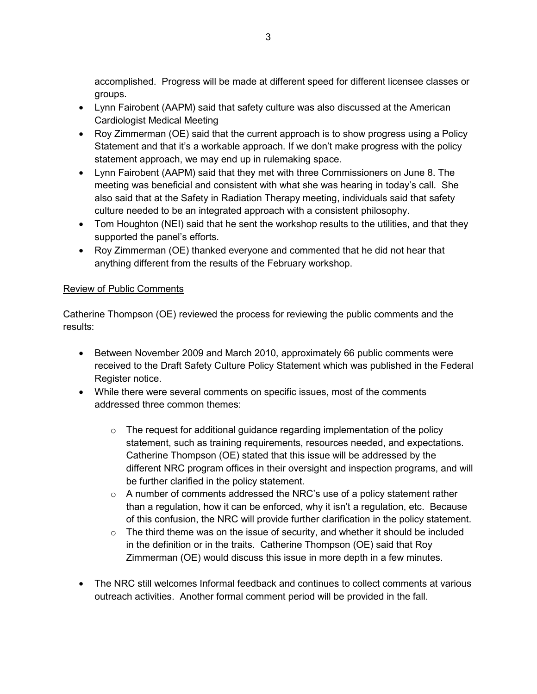accomplished. Progress will be made at different speed for different licensee classes or groups.

- Lynn Fairobent (AAPM) said that safety culture was also discussed at the American Cardiologist Medical Meeting
- Roy Zimmerman (OE) said that the current approach is to show progress using a Policy Statement and that it's a workable approach. If we don't make progress with the policy statement approach, we may end up in rulemaking space.
- Lynn Fairobent (AAPM) said that they met with three Commissioners on June 8. The meeting was beneficial and consistent with what she was hearing in today's call. She also said that at the Safety in Radiation Therapy meeting, individuals said that safety culture needed to be an integrated approach with a consistent philosophy.
- Tom Houghton (NEI) said that he sent the workshop results to the utilities, and that they supported the panel's efforts.
- Roy Zimmerman (OE) thanked everyone and commented that he did not hear that anything different from the results of the February workshop.

# Review of Public Comments

Catherine Thompson (OE) reviewed the process for reviewing the public comments and the results:

- Between November 2009 and March 2010, approximately 66 public comments were received to the Draft Safety Culture Policy Statement which was published in the Federal Register notice.
- While there were several comments on specific issues, most of the comments addressed three common themes:
	- $\circ$  The request for additional guidance regarding implementation of the policy statement, such as training requirements, resources needed, and expectations. Catherine Thompson (OE) stated that this issue will be addressed by the different NRC program offices in their oversight and inspection programs, and will be further clarified in the policy statement.
	- $\circ$  A number of comments addressed the NRC's use of a policy statement rather than a regulation, how it can be enforced, why it isn't a regulation, etc. Because of this confusion, the NRC will provide further clarification in the policy statement.
	- $\circ$  The third theme was on the issue of security, and whether it should be included in the definition or in the traits. Catherine Thompson (OE) said that Roy Zimmerman (OE) would discuss this issue in more depth in a few minutes.
- The NRC still welcomes Informal feedback and continues to collect comments at various outreach activities. Another formal comment period will be provided in the fall.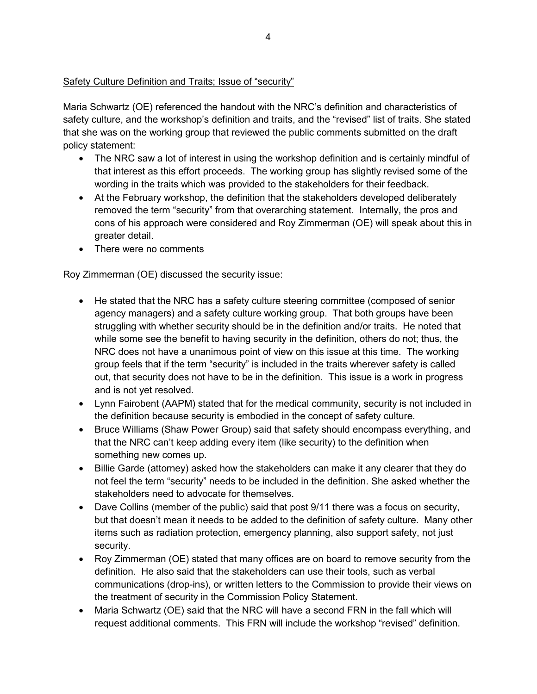# Safety Culture Definition and Traits; Issue of "security"

Maria Schwartz (OE) referenced the handout with the NRC's definition and characteristics of safety culture, and the workshop's definition and traits, and the "revised" list of traits. She stated that she was on the working group that reviewed the public comments submitted on the draft policy statement:

- The NRC saw a lot of interest in using the workshop definition and is certainly mindful of that interest as this effort proceeds. The working group has slightly revised some of the wording in the traits which was provided to the stakeholders for their feedback.
- At the February workshop, the definition that the stakeholders developed deliberately removed the term "security" from that overarching statement. Internally, the pros and cons of his approach were considered and Roy Zimmerman (OE) will speak about this in greater detail.
- There were no comments

Roy Zimmerman (OE) discussed the security issue:

- He stated that the NRC has a safety culture steering committee (composed of senior agency managers) and a safety culture working group. That both groups have been struggling with whether security should be in the definition and/or traits. He noted that while some see the benefit to having security in the definition, others do not; thus, the NRC does not have a unanimous point of view on this issue at this time. The working group feels that if the term "security" is included in the traits wherever safety is called out, that security does not have to be in the definition. This issue is a work in progress and is not yet resolved.
- Lynn Fairobent (AAPM) stated that for the medical community, security is not included in the definition because security is embodied in the concept of safety culture.
- Bruce Williams (Shaw Power Group) said that safety should encompass everything, and that the NRC can't keep adding every item (like security) to the definition when something new comes up.
- Billie Garde (attorney) asked how the stakeholders can make it any clearer that they do not feel the term "security" needs to be included in the definition. She asked whether the stakeholders need to advocate for themselves.
- Dave Collins (member of the public) said that post 9/11 there was a focus on security, but that doesn't mean it needs to be added to the definition of safety culture. Many other items such as radiation protection, emergency planning, also support safety, not just security.
- Roy Zimmerman (OE) stated that many offices are on board to remove security from the definition. He also said that the stakeholders can use their tools, such as verbal communications (drop-ins), or written letters to the Commission to provide their views on the treatment of security in the Commission Policy Statement.
- Maria Schwartz (OE) said that the NRC will have a second FRN in the fall which will request additional comments. This FRN will include the workshop "revised" definition.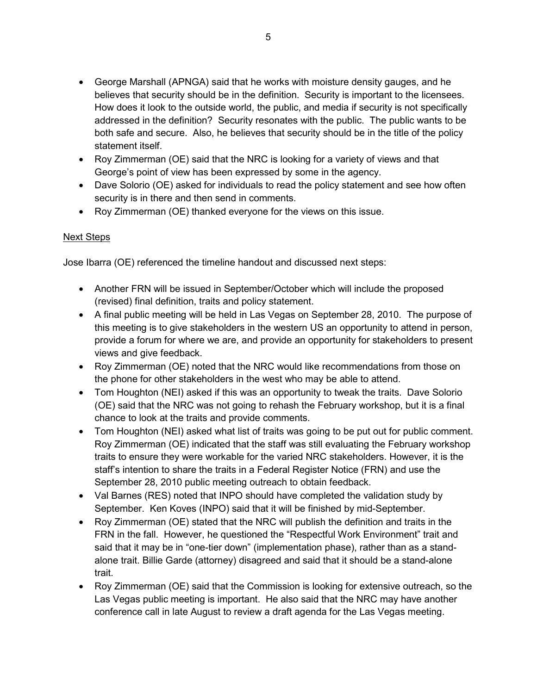- George Marshall (APNGA) said that he works with moisture density gauges, and he believes that security should be in the definition. Security is important to the licensees. How does it look to the outside world, the public, and media if security is not specifically addressed in the definition? Security resonates with the public. The public wants to be both safe and secure. Also, he believes that security should be in the title of the policy statement itself.
- Roy Zimmerman (OE) said that the NRC is looking for a variety of views and that George's point of view has been expressed by some in the agency.
- Dave Solorio (OE) asked for individuals to read the policy statement and see how often security is in there and then send in comments.
- Roy Zimmerman (OE) thanked everyone for the views on this issue.

# Next Steps

Jose Ibarra (OE) referenced the timeline handout and discussed next steps:

- Another FRN will be issued in September/October which will include the proposed (revised) final definition, traits and policy statement.
- A final public meeting will be held in Las Vegas on September 28, 2010. The purpose of this meeting is to give stakeholders in the western US an opportunity to attend in person, provide a forum for where we are, and provide an opportunity for stakeholders to present views and give feedback.
- Roy Zimmerman (OE) noted that the NRC would like recommendations from those on the phone for other stakeholders in the west who may be able to attend.
- Tom Houghton (NEI) asked if this was an opportunity to tweak the traits. Dave Solorio (OE) said that the NRC was not going to rehash the February workshop, but it is a final chance to look at the traits and provide comments.
- Tom Houghton (NEI) asked what list of traits was going to be put out for public comment. Roy Zimmerman (OE) indicated that the staff was still evaluating the February workshop traits to ensure they were workable for the varied NRC stakeholders. However, it is the staff's intention to share the traits in a Federal Register Notice (FRN) and use the September 28, 2010 public meeting outreach to obtain feedback.
- Val Barnes (RES) noted that INPO should have completed the validation study by September. Ken Koves (INPO) said that it will be finished by mid-September.
- Roy Zimmerman (OE) stated that the NRC will publish the definition and traits in the FRN in the fall. However, he questioned the "Respectful Work Environment" trait and said that it may be in "one-tier down" (implementation phase), rather than as a standalone trait. Billie Garde (attorney) disagreed and said that it should be a stand-alone trait.
- Roy Zimmerman (OE) said that the Commission is looking for extensive outreach, so the Las Vegas public meeting is important. He also said that the NRC may have another conference call in late August to review a draft agenda for the Las Vegas meeting.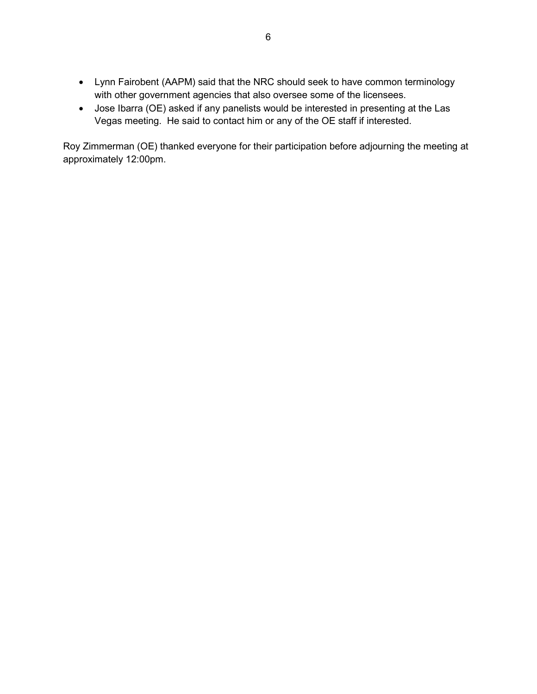- Lynn Fairobent (AAPM) said that the NRC should seek to have common terminology with other government agencies that also oversee some of the licensees.
- Jose Ibarra (OE) asked if any panelists would be interested in presenting at the Las Vegas meeting. He said to contact him or any of the OE staff if interested.

Roy Zimmerman (OE) thanked everyone for their participation before adjourning the meeting at approximately 12:00pm.